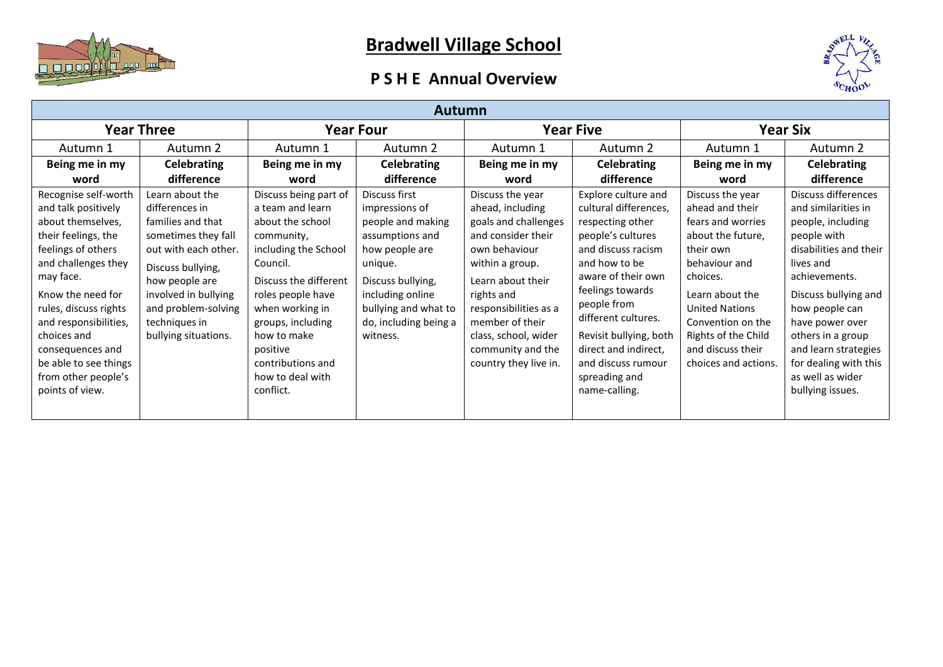

## **Bradwell Village School**

## **P S H E Annual Overview**



| <b>Autumn</b>                                                                                                                                                                                                                                                                                                                  |                                                                                                                                                                                                                                      |                                                                                                                                                                                                                                                                                        |                                                                                                                                                                                                            |                                                                                                                                                                                                                                                                             |                                                                                                                                                                                                                                                                                                                        |                                                                                                                                                                                                                                                              |                                                                                                                                                                                                                                                                                                                   |  |  |
|--------------------------------------------------------------------------------------------------------------------------------------------------------------------------------------------------------------------------------------------------------------------------------------------------------------------------------|--------------------------------------------------------------------------------------------------------------------------------------------------------------------------------------------------------------------------------------|----------------------------------------------------------------------------------------------------------------------------------------------------------------------------------------------------------------------------------------------------------------------------------------|------------------------------------------------------------------------------------------------------------------------------------------------------------------------------------------------------------|-----------------------------------------------------------------------------------------------------------------------------------------------------------------------------------------------------------------------------------------------------------------------------|------------------------------------------------------------------------------------------------------------------------------------------------------------------------------------------------------------------------------------------------------------------------------------------------------------------------|--------------------------------------------------------------------------------------------------------------------------------------------------------------------------------------------------------------------------------------------------------------|-------------------------------------------------------------------------------------------------------------------------------------------------------------------------------------------------------------------------------------------------------------------------------------------------------------------|--|--|
| <b>Year Three</b>                                                                                                                                                                                                                                                                                                              |                                                                                                                                                                                                                                      | <b>Year Four</b>                                                                                                                                                                                                                                                                       |                                                                                                                                                                                                            | <b>Year Five</b>                                                                                                                                                                                                                                                            |                                                                                                                                                                                                                                                                                                                        | <b>Year Six</b>                                                                                                                                                                                                                                              |                                                                                                                                                                                                                                                                                                                   |  |  |
| Autumn 1                                                                                                                                                                                                                                                                                                                       | Autumn 2                                                                                                                                                                                                                             | Autumn 1                                                                                                                                                                                                                                                                               | Autumn 2                                                                                                                                                                                                   | Autumn 1                                                                                                                                                                                                                                                                    | Autumn 2                                                                                                                                                                                                                                                                                                               | Autumn 1                                                                                                                                                                                                                                                     | Autumn 2                                                                                                                                                                                                                                                                                                          |  |  |
| Being me in my                                                                                                                                                                                                                                                                                                                 | <b>Celebrating</b>                                                                                                                                                                                                                   | Being me in my                                                                                                                                                                                                                                                                         | <b>Celebrating</b>                                                                                                                                                                                         | Being me in my                                                                                                                                                                                                                                                              | <b>Celebrating</b>                                                                                                                                                                                                                                                                                                     | Being me in my                                                                                                                                                                                                                                               | <b>Celebrating</b>                                                                                                                                                                                                                                                                                                |  |  |
| word                                                                                                                                                                                                                                                                                                                           | difference                                                                                                                                                                                                                           | word                                                                                                                                                                                                                                                                                   | difference                                                                                                                                                                                                 | word                                                                                                                                                                                                                                                                        | difference                                                                                                                                                                                                                                                                                                             | word                                                                                                                                                                                                                                                         | difference                                                                                                                                                                                                                                                                                                        |  |  |
| Recognise self-worth<br>and talk positively<br>about themselves,<br>their feelings, the<br>feelings of others<br>and challenges they<br>may face.<br>Know the need for<br>rules, discuss rights<br>and responsibilities,<br>choices and<br>consequences and<br>be able to see things<br>from other people's<br>points of view. | Learn about the<br>differences in<br>families and that<br>sometimes they fall<br>out with each other.<br>Discuss bullying,<br>how people are<br>involved in bullying<br>and problem-solving<br>techniques in<br>bullying situations. | Discuss being part of<br>a team and learn<br>about the school<br>community,<br>including the School<br>Council.<br>Discuss the different<br>roles people have<br>when working in<br>groups, including<br>how to make<br>positive<br>contributions and<br>how to deal with<br>conflict. | Discuss first<br>impressions of<br>people and making<br>assumptions and<br>how people are<br>unique.<br>Discuss bullying,<br>including online<br>bullying and what to<br>do, including being a<br>witness. | Discuss the year<br>ahead, including<br>goals and challenges<br>and consider their<br>own behaviour<br>within a group.<br>Learn about their<br>rights and<br>responsibilities as a<br>member of their<br>class, school, wider<br>community and the<br>country they live in. | Explore culture and<br>cultural differences,<br>respecting other<br>people's cultures<br>and discuss racism<br>and how to be<br>aware of their own<br>feelings towards<br>people from<br>different cultures.<br>Revisit bullying, both<br>direct and indirect.<br>and discuss rumour<br>spreading and<br>name-calling. | Discuss the year<br>ahead and their<br>fears and worries<br>about the future.<br>their own<br>behaviour and<br>choices.<br>Learn about the<br><b>United Nations</b><br>Convention on the<br>Rights of the Child<br>and discuss their<br>choices and actions. | Discuss differences<br>and similarities in<br>people, including<br>people with<br>disabilities and their<br>lives and<br>achievements.<br>Discuss bullying and<br>how people can<br>have power over<br>others in a group<br>and learn strategies<br>for dealing with this<br>as well as wider<br>bullying issues. |  |  |
|                                                                                                                                                                                                                                                                                                                                |                                                                                                                                                                                                                                      |                                                                                                                                                                                                                                                                                        |                                                                                                                                                                                                            |                                                                                                                                                                                                                                                                             |                                                                                                                                                                                                                                                                                                                        |                                                                                                                                                                                                                                                              |                                                                                                                                                                                                                                                                                                                   |  |  |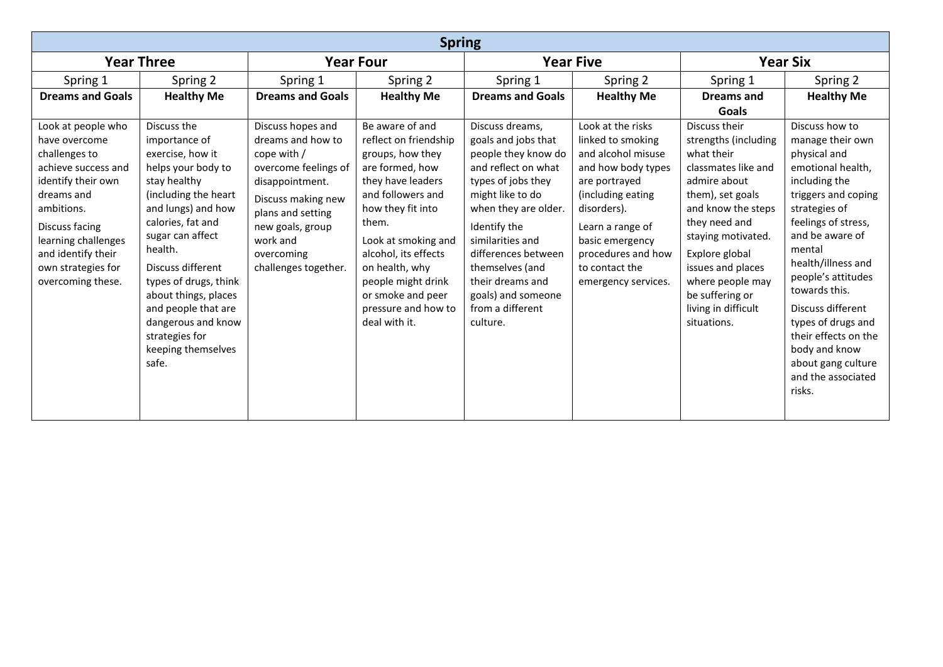| <b>Spring</b>                                                                                                                                                                                                                           |                                                                                                                                                                                                                                                                                                                                                              |                                                                                                                                                                                                                   |                                                                                                                                                                                                                                                                                                             |                                                                                                                                                                                                                                                                                                                |                                                                                                                                                                                                                                               |                                                                                                                                                                                                                                                                                                 |                                                                                                                                                                                                                                                                                                                                                                                             |  |
|-----------------------------------------------------------------------------------------------------------------------------------------------------------------------------------------------------------------------------------------|--------------------------------------------------------------------------------------------------------------------------------------------------------------------------------------------------------------------------------------------------------------------------------------------------------------------------------------------------------------|-------------------------------------------------------------------------------------------------------------------------------------------------------------------------------------------------------------------|-------------------------------------------------------------------------------------------------------------------------------------------------------------------------------------------------------------------------------------------------------------------------------------------------------------|----------------------------------------------------------------------------------------------------------------------------------------------------------------------------------------------------------------------------------------------------------------------------------------------------------------|-----------------------------------------------------------------------------------------------------------------------------------------------------------------------------------------------------------------------------------------------|-------------------------------------------------------------------------------------------------------------------------------------------------------------------------------------------------------------------------------------------------------------------------------------------------|---------------------------------------------------------------------------------------------------------------------------------------------------------------------------------------------------------------------------------------------------------------------------------------------------------------------------------------------------------------------------------------------|--|
| <b>Year Three</b>                                                                                                                                                                                                                       |                                                                                                                                                                                                                                                                                                                                                              | <b>Year Four</b>                                                                                                                                                                                                  |                                                                                                                                                                                                                                                                                                             | <b>Year Five</b>                                                                                                                                                                                                                                                                                               |                                                                                                                                                                                                                                               | <b>Year Six</b>                                                                                                                                                                                                                                                                                 |                                                                                                                                                                                                                                                                                                                                                                                             |  |
| Spring 1                                                                                                                                                                                                                                | Spring 2                                                                                                                                                                                                                                                                                                                                                     | Spring 1                                                                                                                                                                                                          | Spring 2                                                                                                                                                                                                                                                                                                    | Spring 1                                                                                                                                                                                                                                                                                                       | Spring 2                                                                                                                                                                                                                                      | Spring 1                                                                                                                                                                                                                                                                                        | Spring 2                                                                                                                                                                                                                                                                                                                                                                                    |  |
| <b>Dreams and Goals</b>                                                                                                                                                                                                                 | <b>Healthy Me</b>                                                                                                                                                                                                                                                                                                                                            | <b>Dreams and Goals</b>                                                                                                                                                                                           | <b>Healthy Me</b>                                                                                                                                                                                                                                                                                           | <b>Dreams and Goals</b>                                                                                                                                                                                                                                                                                        | <b>Healthy Me</b>                                                                                                                                                                                                                             | <b>Dreams and</b><br>Goals                                                                                                                                                                                                                                                                      | <b>Healthy Me</b>                                                                                                                                                                                                                                                                                                                                                                           |  |
| Look at people who<br>have overcome<br>challenges to<br>achieve success and<br>identify their own<br>dreams and<br>ambitions.<br>Discuss facing<br>learning challenges<br>and identify their<br>own strategies for<br>overcoming these. | Discuss the<br>importance of<br>exercise, how it<br>helps your body to<br>stay healthy<br>(including the heart<br>and lungs) and how<br>calories, fat and<br>sugar can affect<br>health.<br>Discuss different<br>types of drugs, think<br>about things, places<br>and people that are<br>dangerous and know<br>strategies for<br>keeping themselves<br>safe. | Discuss hopes and<br>dreams and how to<br>cope with /<br>overcome feelings of<br>disappointment.<br>Discuss making new<br>plans and setting<br>new goals, group<br>work and<br>overcoming<br>challenges together. | Be aware of and<br>reflect on friendship<br>groups, how they<br>are formed, how<br>they have leaders<br>and followers and<br>how they fit into<br>them.<br>Look at smoking and<br>alcohol, its effects<br>on health, why<br>people might drink<br>or smoke and peer<br>pressure and how to<br>deal with it. | Discuss dreams,<br>goals and jobs that<br>people they know do<br>and reflect on what<br>types of jobs they<br>might like to do<br>when they are older.<br>Identify the<br>similarities and<br>differences between<br>themselves (and<br>their dreams and<br>goals) and someone<br>from a different<br>culture. | Look at the risks<br>linked to smoking<br>and alcohol misuse<br>and how body types<br>are portrayed<br>(including eating<br>disorders).<br>Learn a range of<br>basic emergency<br>procedures and how<br>to contact the<br>emergency services. | Discuss their<br>strengths (including<br>what their<br>classmates like and<br>admire about<br>them), set goals<br>and know the steps<br>they need and<br>staying motivated.<br>Explore global<br>issues and places<br>where people may<br>be suffering or<br>living in difficult<br>situations. | Discuss how to<br>manage their own<br>physical and<br>emotional health.<br>including the<br>triggers and coping<br>strategies of<br>feelings of stress,<br>and be aware of<br>mental<br>health/illness and<br>people's attitudes<br>towards this.<br>Discuss different<br>types of drugs and<br>their effects on the<br>body and know<br>about gang culture<br>and the associated<br>risks. |  |